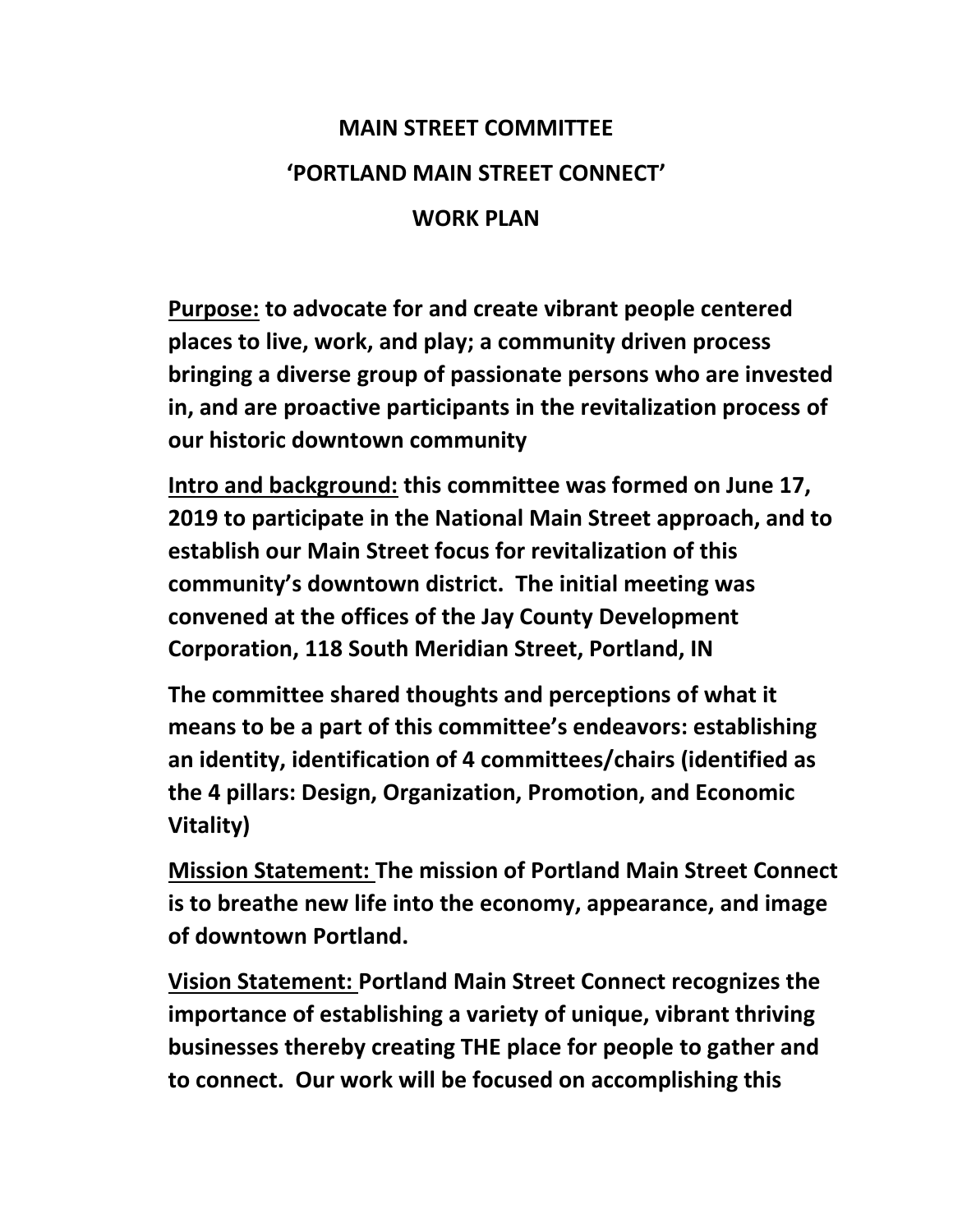# **MAIN STREET COMMITTEE 'PORTLAND MAIN STREET CONNECT' WORK PLAN**

**Purpose: to advocate for and create vibrant people centered places to live, work, and play; a community driven process bringing a diverse group of passionate persons who are invested in, and are proactive participants in the revitalization process of our historic downtown community**

**Intro and background: this committee was formed on June 17, 2019 to participate in the National Main Street approach, and to establish our Main Street focus for revitalization of this community's downtown district. The initial meeting was convened at the offices of the Jay County Development Corporation, 118 South Meridian Street, Portland, IN**

**The committee shared thoughts and perceptions of what it means to be a part of this committee's endeavors: establishing an identity, identification of 4 committees/chairs (identified as the 4 pillars: Design, Organization, Promotion, and Economic Vitality)**

**Mission Statement: The mission of Portland Main Street Connect is to breathe new life into the economy, appearance, and image of downtown Portland.**

**Vision Statement: Portland Main Street Connect recognizes the importance of establishing a variety of unique, vibrant thriving businesses thereby creating THE place for people to gather and to connect. Our work will be focused on accomplishing this**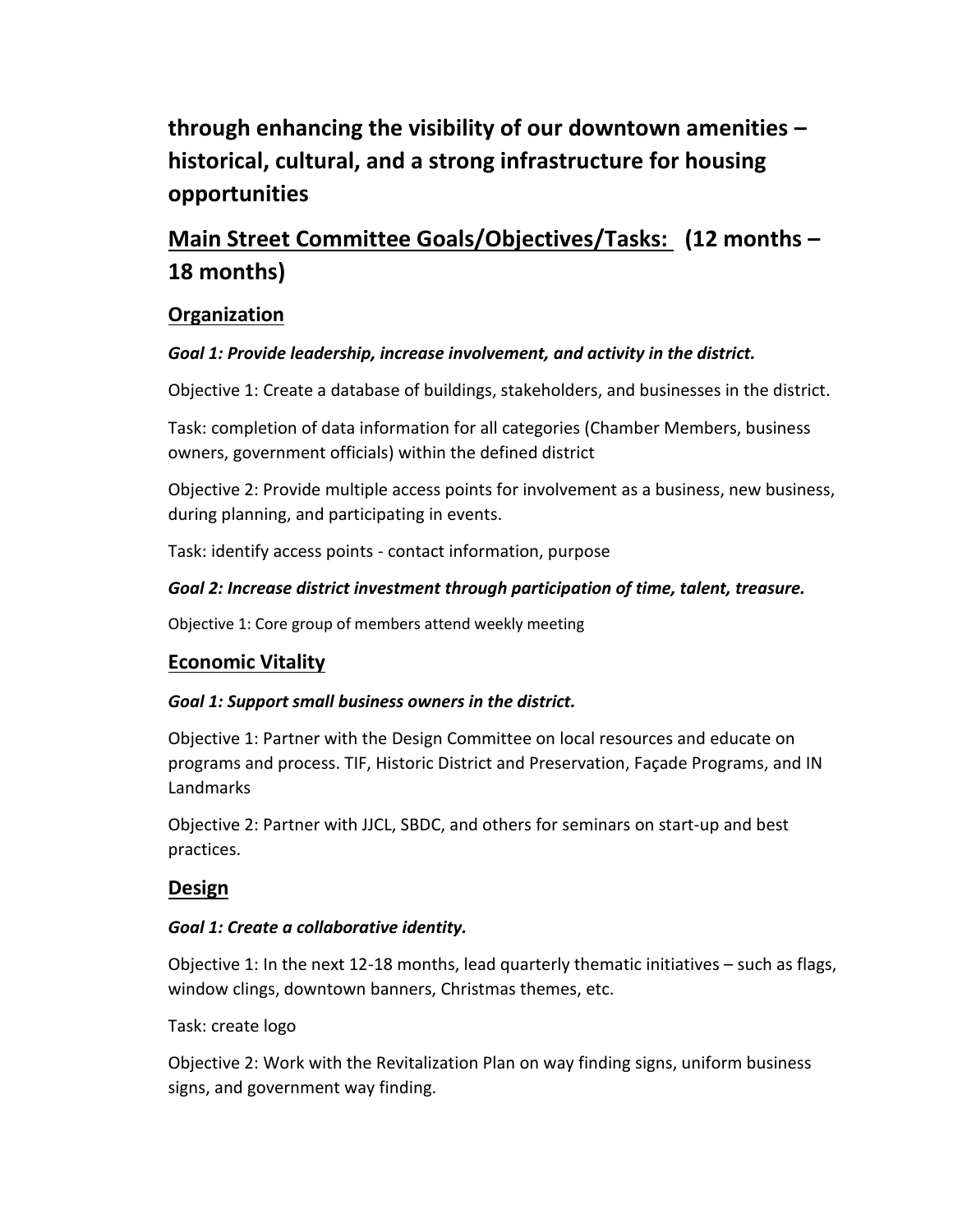## **through enhancing the visibility of our downtown amenities – historical, cultural, and a strong infrastructure for housing opportunities**

## **Main Street Committee Goals/Objectives/Tasks: (12 months – 18 months)**

## **Organization**

## *Goal 1: Provide leadership, increase involvement, and activity in the district.*

Objective 1: Create a database of buildings, stakeholders, and businesses in the district.

Task: completion of data information for all categories (Chamber Members, business owners, government officials) within the defined district

Objective 2: Provide multiple access points for involvement as a business, new business, during planning, and participating in events.

Task: identify access points - contact information, purpose

### *Goal 2: Increase district investment through participation of time, talent, treasure.*

Objective 1: Core group of members attend weekly meeting

## **Economic Vitality**

### *Goal 1: Support small business owners in the district.*

Objective 1: Partner with the Design Committee on local resources and educate on programs and process. TIF, Historic District and Preservation, Façade Programs, and IN Landmarks

Objective 2: Partner with JJCL, SBDC, and others for seminars on start-up and best practices.

## **Design**

### *Goal 1: Create a collaborative identity.*

Objective 1: In the next 12-18 months, lead quarterly thematic initiatives – such as flags, window clings, downtown banners, Christmas themes, etc.

Task: create logo

Objective 2: Work with the Revitalization Plan on way finding signs, uniform business signs, and government way finding.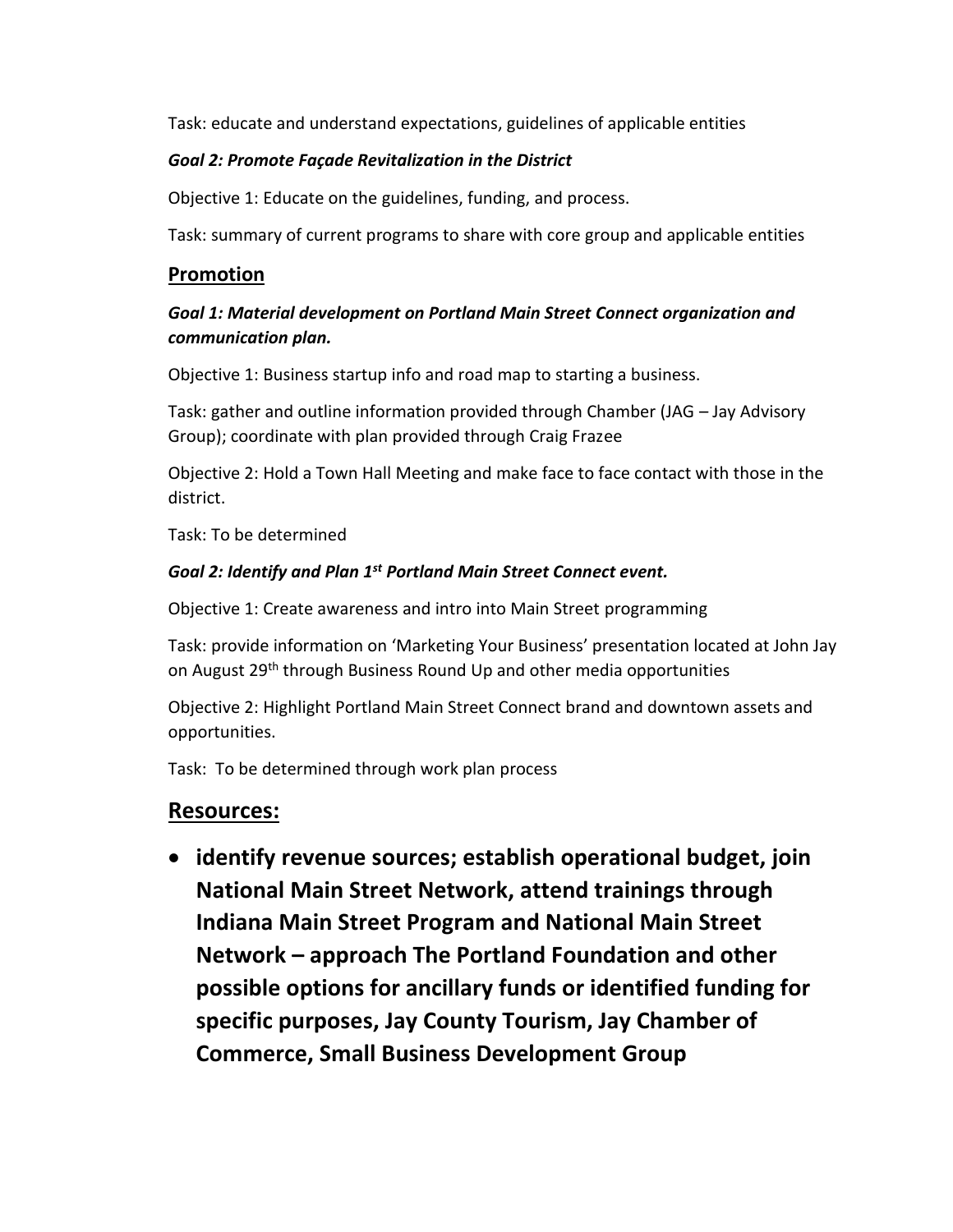Task: educate and understand expectations, guidelines of applicable entities

#### *Goal 2: Promote Façade Revitalization in the District*

Objective 1: Educate on the guidelines, funding, and process.

Task: summary of current programs to share with core group and applicable entities

#### **Promotion**

### *Goal 1: Material development on Portland Main Street Connect organization and communication plan.*

Objective 1: Business startup info and road map to starting a business.

Task: gather and outline information provided through Chamber (JAG – Jay Advisory Group); coordinate with plan provided through Craig Frazee

Objective 2: Hold a Town Hall Meeting and make face to face contact with those in the district.

Task: To be determined

#### *Goal 2: Identify and Plan 1st Portland Main Street Connect event.*

Objective 1: Create awareness and intro into Main Street programming

Task: provide information on 'Marketing Your Business' presentation located at John Jay on August 29<sup>th</sup> through Business Round Up and other media opportunities

Objective 2: Highlight Portland Main Street Connect brand and downtown assets and opportunities.

Task: To be determined through work plan process

## **Resources:**

• **identify revenue sources; establish operational budget, join National Main Street Network, attend trainings through Indiana Main Street Program and National Main Street Network – approach The Portland Foundation and other possible options for ancillary funds or identified funding for specific purposes, Jay County Tourism, Jay Chamber of Commerce, Small Business Development Group**